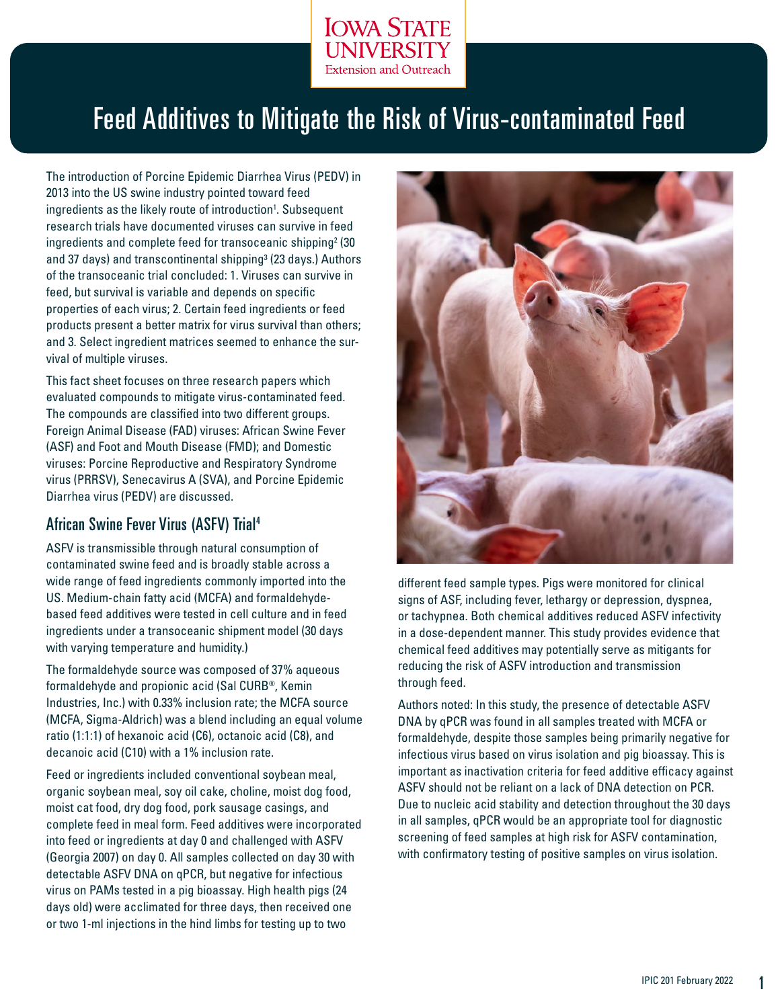

# Feed Additives to Mitigate the Risk of Virus-contaminated Feed

The introduction of Porcine Epidemic Diarrhea Virus (PEDV) in 2013 into the US swine industry pointed toward feed ingredients as the likely route of introduction<sup>1</sup>. Subsequent research trials have documented viruses can survive in feed ingredients and complete feed for transoceanic shipping<sup>2</sup> (30 and 37 days) and transcontinental shipping<sup>3</sup> (23 days.) Authors of the transoceanic trial concluded: 1. Viruses can survive in feed, but survival is variable and depends on specific properties of each virus; 2. Certain feed ingredients or feed products present a better matrix for virus survival than others; and 3. Select ingredient matrices seemed to enhance the survival of multiple viruses.

This fact sheet focuses on three research papers which evaluated compounds to mitigate virus-contaminated feed. The compounds are classified into two different groups. Foreign Animal Disease (FAD) viruses: African Swine Fever (ASF) and Foot and Mouth Disease (FMD); and Domestic viruses: Porcine Reproductive and Respiratory Syndrome virus (PRRSV), Senecavirus A (SVA), and Porcine Epidemic Diarrhea virus (PEDV) are discussed.

#### African Swine Fever Virus (ASFV) Trial4

ASFV is transmissible through natural consumption of contaminated swine feed and is broadly stable across a wide range of feed ingredients commonly imported into the US. Medium-chain fatty acid (MCFA) and formaldehydebased feed additives were tested in cell culture and in feed ingredients under a transoceanic shipment model (30 days with varying temperature and humidity.)

The formaldehyde source was composed of 37% aqueous formaldehyde and propionic acid (Sal CURB®, Kemin Industries, Inc.) with 0.33% inclusion rate; the MCFA source (MCFA, Sigma-Aldrich) was a blend including an equal volume ratio (1:1:1) of hexanoic acid (C6), octanoic acid (C8), and decanoic acid (C10) with a 1% inclusion rate.

Feed or ingredients included conventional soybean meal, organic soybean meal, soy oil cake, choline, moist dog food, moist cat food, dry dog food, pork sausage casings, and complete feed in meal form. Feed additives were incorporated into feed or ingredients at day 0 and challenged with ASFV (Georgia 2007) on day 0. All samples collected on day 30 with detectable ASFV DNA on qPCR, but negative for infectious virus on PAMs tested in a pig bioassay. High health pigs (24 days old) were acclimated for three days, then received one or two 1-ml injections in the hind limbs for testing up to two



different feed sample types. Pigs were monitored for clinical signs of ASF, including fever, lethargy or depression, dyspnea, or tachypnea. Both chemical additives reduced ASFV infectivity in a dose-dependent manner. This study provides evidence that chemical feed additives may potentially serve as mitigants for reducing the risk of ASFV introduction and transmission through feed.

Authors noted: In this study, the presence of detectable ASFV DNA by qPCR was found in all samples treated with MCFA or formaldehyde, despite those samples being primarily negative for infectious virus based on virus isolation and pig bioassay. This is important as inactivation criteria for feed additive efficacy against ASFV should not be reliant on a lack of DNA detection on PCR. Due to nucleic acid stability and detection throughout the 30 days in all samples, qPCR would be an appropriate tool for diagnostic screening of feed samples at high risk for ASFV contamination, with confirmatory testing of positive samples on virus isolation.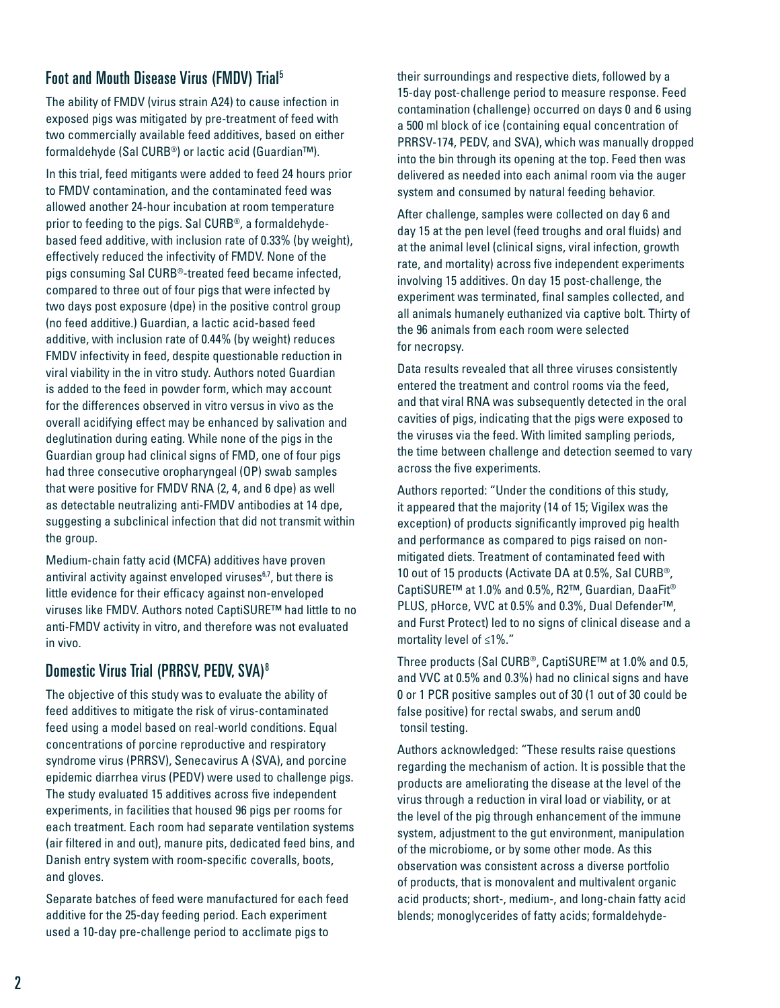# Foot and Mouth Disease Virus (FMDV) Trial5

The ability of FMDV (virus strain A24) to cause infection in exposed pigs was mitigated by pre-treatment of feed with two commercially available feed additives, based on either formaldehyde (Sal CURB®) or lactic acid (Guardian™).

In this trial, feed mitigants were added to feed 24 hours prior to FMDV contamination, and the contaminated feed was allowed another 24-hour incubation at room temperature prior to feeding to the pigs. Sal CURB®, a formaldehydebased feed additive, with inclusion rate of 0.33% (by weight), effectively reduced the infectivity of FMDV. None of the pigs consuming Sal CURB®-treated feed became infected, compared to three out of four pigs that were infected by two days post exposure (dpe) in the positive control group (no feed additive.) Guardian, a lactic acid-based feed additive, with inclusion rate of 0.44% (by weight) reduces FMDV infectivity in feed, despite questionable reduction in viral viability in the in vitro study. Authors noted Guardian is added to the feed in powder form, which may account for the differences observed in vitro versus in vivo as the overall acidifying effect may be enhanced by salivation and deglutination during eating. While none of the pigs in the Guardian group had clinical signs of FMD, one of four pigs had three consecutive oropharyngeal (OP) swab samples that were positive for FMDV RNA (2, 4, and 6 dpe) as well as detectable neutralizing anti-FMDV antibodies at 14 dpe, suggesting a subclinical infection that did not transmit within the group.

Medium-chain fatty acid (MCFA) additives have proven antiviral activity against enveloped viruses<sup>6,7</sup>, but there is little evidence for their efficacy against non-enveloped viruses like FMDV. Authors noted CaptiSURE™ had little to no anti-FMDV activity in vitro, and therefore was not evaluated in vivo.

## Domestic Virus Trial (PRRSV, PEDV, SVA)8

The objective of this study was to evaluate the ability of feed additives to mitigate the risk of virus-contaminated feed using a model based on real-world conditions. Equal concentrations of porcine reproductive and respiratory syndrome virus (PRRSV), Senecavirus A (SVA), and porcine epidemic diarrhea virus (PEDV) were used to challenge pigs. The study evaluated 15 additives across five independent experiments, in facilities that housed 96 pigs per rooms for each treatment. Each room had separate ventilation systems (air filtered in and out), manure pits, dedicated feed bins, and Danish entry system with room-specific coveralls, boots, and gloves.

Separate batches of feed were manufactured for each feed additive for the 25-day feeding period. Each experiment used a 10-day pre-challenge period to acclimate pigs to

their surroundings and respective diets, followed by a 15-day post-challenge period to measure response. Feed contamination (challenge) occurred on days 0 and 6 using a 500 ml block of ice (containing equal concentration of PRRSV-174, PEDV, and SVA), which was manually dropped into the bin through its opening at the top. Feed then was delivered as needed into each animal room via the auger system and consumed by natural feeding behavior.

After challenge, samples were collected on day 6 and day 15 at the pen level (feed troughs and oral fluids) and at the animal level (clinical signs, viral infection, growth rate, and mortality) across five independent experiments involving 15 additives. On day 15 post-challenge, the experiment was terminated, final samples collected, and all animals humanely euthanized via captive bolt. Thirty of the 96 animals from each room were selected for necropsy.

Data results revealed that all three viruses consistently entered the treatment and control rooms via the feed, and that viral RNA was subsequently detected in the oral cavities of pigs, indicating that the pigs were exposed to the viruses via the feed. With limited sampling periods, the time between challenge and detection seemed to vary across the five experiments.

Authors reported: "Under the conditions of this study, it appeared that the majority (14 of 15; Vigilex was the exception) of products significantly improved pig health and performance as compared to pigs raised on nonmitigated diets. Treatment of contaminated feed with 10 out of 15 products (Activate DA at 0.5%, Sal CURB®, CaptiSURE™ at 1.0% and 0.5%, R2™, Guardian, DaaFit® PLUS, pHorce, VVC at 0.5% and 0.3%, Dual Defender™, and Furst Protect) led to no signs of clinical disease and a mortality level of ≤1%."

Three products (Sal CURB®, CaptiSURE™ at 1.0% and 0.5, and VVC at 0.5% and 0.3%) had no clinical signs and have 0 or 1 PCR positive samples out of 30 (1 out of 30 could be false positive) for rectal swabs, and serum and0 tonsil testing.

Authors acknowledged: "These results raise questions regarding the mechanism of action. It is possible that the products are ameliorating the disease at the level of the virus through a reduction in viral load or viability, or at the level of the pig through enhancement of the immune system, adjustment to the gut environment, manipulation of the microbiome, or by some other mode. As this observation was consistent across a diverse portfolio of products, that is monovalent and multivalent organic acid products; short-, medium-, and long-chain fatty acid blends; monoglycerides of fatty acids; formaldehyde-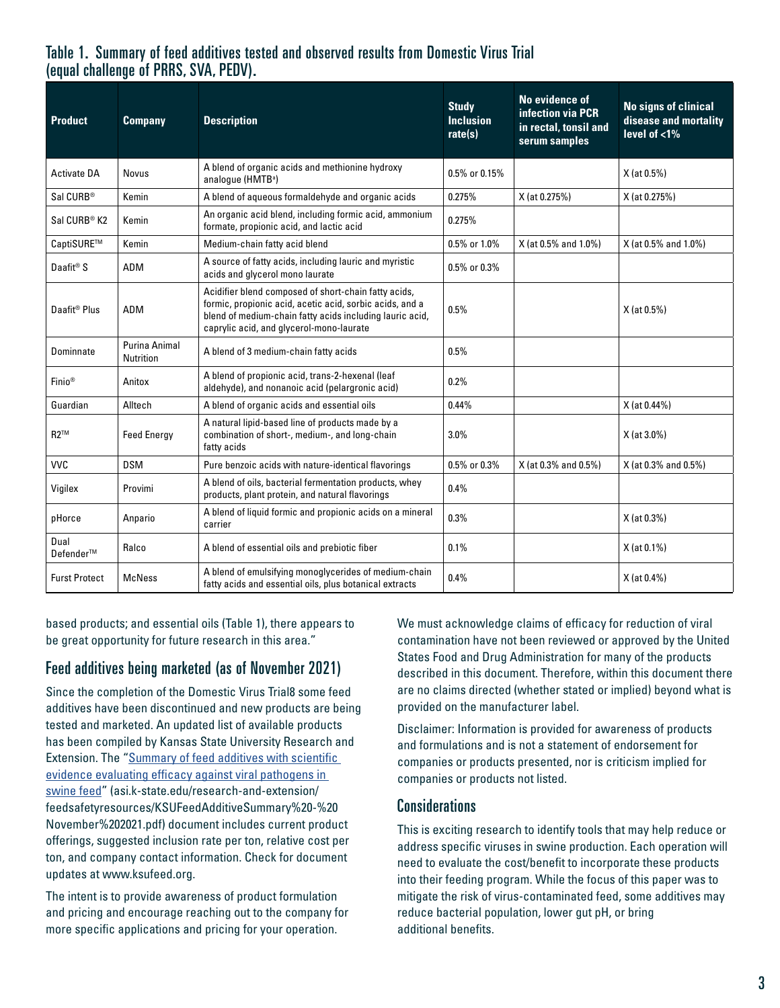#### Table 1. Summary of feed additives tested and observed results from Domestic Virus Trial (equal challenge of PRRS, SVA, PEDV).

| <b>Product</b>           | <b>Company</b>                           | <b>Description</b>                                                                                                                                                                                                       | <b>Study</b><br><b>Inclusion</b><br>rate(s) | No evidence of<br>infection via PCR<br>in rectal, tonsil and<br>serum samples | <b>No signs of clinical</b><br>disease and mortality<br>level of $<$ 1% |
|--------------------------|------------------------------------------|--------------------------------------------------------------------------------------------------------------------------------------------------------------------------------------------------------------------------|---------------------------------------------|-------------------------------------------------------------------------------|-------------------------------------------------------------------------|
| <b>Activate DA</b>       | <b>Novus</b>                             | A blend of organic acids and methionine hydroxy<br>analoque (HMTB <sup>a</sup> )                                                                                                                                         | 0.5% or 0.15%                               |                                                                               | X (at 0.5%)                                                             |
| Sal CURB <sup>®</sup>    | Kemin                                    | A blend of aqueous formaldehyde and organic acids                                                                                                                                                                        | 0.275%                                      | X (at 0.275%)                                                                 | X (at 0.275%)                                                           |
| Sal CURB® K2             | Kemin                                    | An organic acid blend, including formic acid, ammonium<br>formate, propionic acid, and lactic acid                                                                                                                       | 0.275%                                      |                                                                               |                                                                         |
| CaptiSURE™               | Kemin                                    | Medium-chain fatty acid blend                                                                                                                                                                                            | 0.5% or 1.0%                                | X (at 0.5% and 1.0%)                                                          | X (at 0.5% and 1.0%)                                                    |
| Daafit® S                | <b>ADM</b>                               | A source of fatty acids, including lauric and myristic<br>acids and glycerol mono laurate                                                                                                                                | 0.5% or 0.3%                                |                                                                               |                                                                         |
| Daafit <sup>®</sup> Plus | <b>ADM</b>                               | Acidifier blend composed of short-chain fatty acids,<br>formic, propionic acid, acetic acid, sorbic acids, and a<br>blend of medium-chain fatty acids including lauric acid,<br>caprylic acid, and glycerol-mono-laurate | 0.5%                                        |                                                                               | X (at 0.5%)                                                             |
| Dominnate                | <b>Purina Animal</b><br><b>Nutrition</b> | A blend of 3 medium-chain fatty acids                                                                                                                                                                                    | 0.5%                                        |                                                                               |                                                                         |
| Finio <sup>®</sup>       | Anitox                                   | A blend of propionic acid, trans-2-hexenal (leaf<br>aldehyde), and nonanoic acid (pelargronic acid)                                                                                                                      | 0.2%                                        |                                                                               |                                                                         |
| Guardian                 | Alltech                                  | A blend of organic acids and essential oils                                                                                                                                                                              | 0.44%                                       |                                                                               | X (at 0.44%)                                                            |
| $R2^{TM}$                | <b>Feed Energy</b>                       | A natural lipid-based line of products made by a<br>combination of short-, medium-, and long-chain<br>fatty acids                                                                                                        | 3.0%                                        |                                                                               | X (at 3.0%)                                                             |
| <b>VVC</b>               | <b>DSM</b>                               | Pure benzoic acids with nature-identical flavorings                                                                                                                                                                      | 0.5% or 0.3%                                | X (at 0.3% and 0.5%)                                                          | X (at 0.3% and 0.5%)                                                    |
| Vigilex                  | Provimi                                  | A blend of oils, bacterial fermentation products, whey<br>products, plant protein, and natural flavorings                                                                                                                | 0.4%                                        |                                                                               |                                                                         |
| pHorce                   | Anpario                                  | A blend of liquid formic and propionic acids on a mineral<br>carrier                                                                                                                                                     | 0.3%                                        |                                                                               | X (at 0.3%)                                                             |
| Dual<br>Defender™        | Ralco                                    | A blend of essential oils and prebiotic fiber                                                                                                                                                                            | 0.1%                                        |                                                                               | $X$ (at 0.1%)                                                           |
| <b>Furst Protect</b>     | <b>McNess</b>                            | A blend of emulsifying monoglycerides of medium-chain<br>fatty acids and essential oils, plus botanical extracts                                                                                                         | 0.4%                                        |                                                                               | X (at 0.4%)                                                             |

based products; and essential oils (Table 1), there appears to be great opportunity for future research in this area."

## Feed additives being marketed (as of November 2021)

Since the completion of the Domestic Virus Trial8 some feed additives have been discontinued and new products are being tested and marketed. An updated list of available products has been compiled by Kansas State University Research and Extension. The "[Summary of feed additives with scientific](http://asi.k-state.edu/research-and-extension/feedsafetyresources/KSUFeedAdditiveSummary%20-%20November%202021.pdf)  [evidence evaluating efficacy against viral pathogens in](http://asi.k-state.edu/research-and-extension/feedsafetyresources/KSUFeedAdditiveSummary%20-%20November%202021.pdf)  [swine feed"](http://asi.k-state.edu/research-and-extension/feedsafetyresources/KSUFeedAdditiveSummary%20-%20November%202021.pdf) (asi.k-state.edu/research-and-extension/ feedsafetyresources/KSUFeedAdditiveSummary%20-%20 November%202021.pdf) document includes current product offerings, suggested inclusion rate per ton, relative cost per ton, and company contact information. Check for document updates at www.ksufeed.org.

The intent is to provide awareness of product formulation and pricing and encourage reaching out to the company for more specific applications and pricing for your operation.

We must acknowledge claims of efficacy for reduction of viral contamination have not been reviewed or approved by the United States Food and Drug Administration for many of the products described in this document. Therefore, within this document there are no claims directed (whether stated or implied) beyond what is provided on the manufacturer label.

Disclaimer: Information is provided for awareness of products and formulations and is not a statement of endorsement for companies or products presented, nor is criticism implied for companies or products not listed.

#### **Considerations**

This is exciting research to identify tools that may help reduce or address specific viruses in swine production. Each operation will need to evaluate the cost/benefit to incorporate these products into their feeding program. While the focus of this paper was to mitigate the risk of virus-contaminated feed, some additives may reduce bacterial population, lower gut pH, or bring additional benefits.